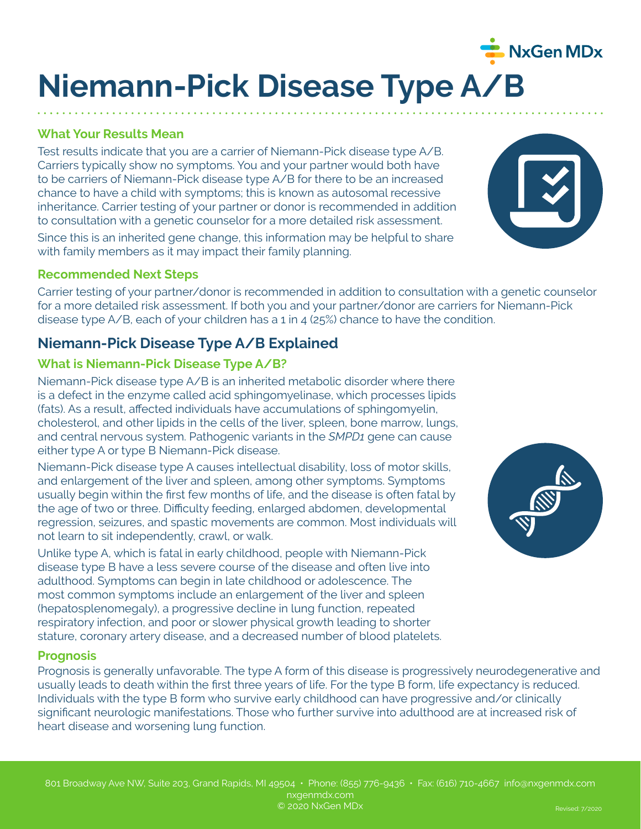# **Niemann-Pick Disease Type A/B**

### **What Your Results Mean**

Test results indicate that you are a carrier of Niemann-Pick disease type A/B. Carriers typically show no symptoms. You and your partner would both have to be carriers of Niemann-Pick disease type A/B for there to be an increased chance to have a child with symptoms; this is known as autosomal recessive inheritance. Carrier testing of your partner or donor is recommended in addition to consultation with a genetic counselor for a more detailed risk assessment.

Since this is an inherited gene change, this information may be helpful to share with family members as it may impact their family planning.

#### **Recommended Next Steps**

Carrier testing of your partner/donor is recommended in addition to consultation with a genetic counselor for a more detailed risk assessment. If both you and your partner/donor are carriers for Niemann-Pick disease type A/B, each of your children has a 1 in 4 (25%) chance to have the condition.

## **Niemann-Pick Disease Type A/B Explained**

#### **What is Niemann-Pick Disease Type A/B?**

Niemann-Pick disease type A/B is an inherited metabolic disorder where there is a defect in the enzyme called acid sphingomyelinase, which processes lipids (fats). As a result, affected individuals have accumulations of sphingomyelin, cholesterol, and other lipids in the cells of the liver, spleen, bone marrow, lungs, and central nervous system. Pathogenic variants in the *SMPD1* gene can cause either type A or type B Niemann-Pick disease.

Niemann-Pick disease type A causes intellectual disability, loss of motor skills, and enlargement of the liver and spleen, among other symptoms. Symptoms usually begin within the first few months of life, and the disease is often fatal by the age of two or three. Difficulty feeding, enlarged abdomen, developmental regression, seizures, and spastic movements are common. Most individuals will not learn to sit independently, crawl, or walk.

Unlike type A, which is fatal in early childhood, people with Niemann-Pick disease type B have a less severe course of the disease and often live into adulthood. Symptoms can begin in late childhood or adolescence. The most common symptoms include an enlargement of the liver and spleen (hepatosplenomegaly), a progressive decline in lung function, repeated respiratory infection, and poor or slower physical growth leading to shorter stature, coronary artery disease, and a decreased number of blood platelets.

#### **Prognosis**

Prognosis is generally unfavorable. The type A form of this disease is progressively neurodegenerative and usually leads to death within the first three years of life. For the type B form, life expectancy is reduced. Individuals with the type B form who survive early childhood can have progressive and/or clinically significant neurologic manifestations. Those who further survive into adulthood are at increased risk of heart disease and worsening lung function.